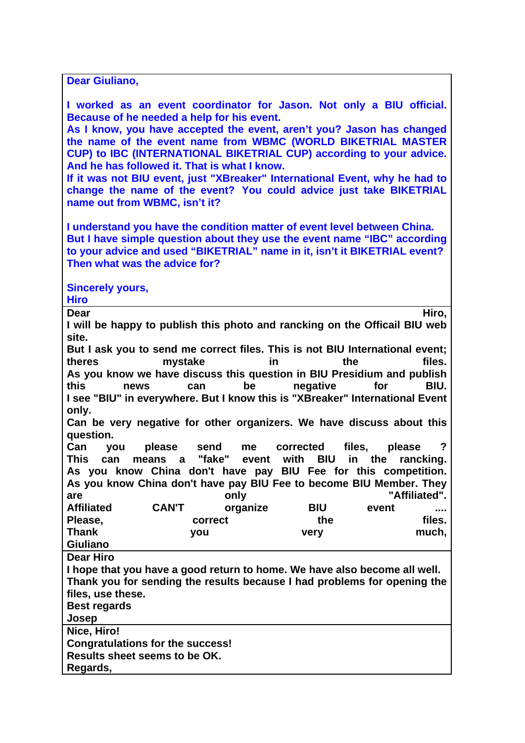| Dear Giuliano,                                                                                                                                                                                                                                                                                                                                                                                                                                                                                                                                                           |              |                  |  |                     |       |                                                                            |  |
|--------------------------------------------------------------------------------------------------------------------------------------------------------------------------------------------------------------------------------------------------------------------------------------------------------------------------------------------------------------------------------------------------------------------------------------------------------------------------------------------------------------------------------------------------------------------------|--------------|------------------|--|---------------------|-------|----------------------------------------------------------------------------|--|
| I worked as an event coordinator for Jason. Not only a BIU official.<br>Because of he needed a help for his event.<br>As I know, you have accepted the event, aren't you? Jason has changed<br>the name of the event name from WBMC (WORLD BIKETRIAL MASTER<br>CUP) to IBC (INTERNATIONAL BIKETRIAL CUP) according to your advice.<br>And he has followed it. That is what I know.<br>If it was not BIU event, just "XBreaker" International Event, why he had to<br>change the name of the event? You could advice just take BIKETRIAL<br>name out from WBMC, isn't it? |              |                  |  |                     |       |                                                                            |  |
| I understand you have the condition matter of event level between China.<br>But I have simple question about they use the event name "IBC" according<br>to your advice and used "BIKETRIAL" name in it, isn't it BIKETRIAL event?<br>Then what was the advice for?                                                                                                                                                                                                                                                                                                       |              |                  |  |                     |       |                                                                            |  |
| <b>Sincerely yours,</b><br><b>Hiro</b>                                                                                                                                                                                                                                                                                                                                                                                                                                                                                                                                   |              |                  |  |                     |       |                                                                            |  |
| Hiro,<br>Dear<br>I will be happy to publish this photo and rancking on the Officail BIU web<br>site.                                                                                                                                                                                                                                                                                                                                                                                                                                                                     |              |                  |  |                     |       |                                                                            |  |
| But I ask you to send me correct files. This is not BIU International event;<br>theres<br>mystake<br>files.<br>in<br>the<br>As you know we have discuss this question in BIU Presidium and publish<br>this<br>be negative<br>for<br>BIU.<br>news<br>can<br>I see "BIU" in everywhere. But I know this is "XBreaker" International Event<br>only.<br>Can be very negative for other organizers. We have discuss about this<br>question.                                                                                                                                   |              |                  |  |                     |       |                                                                            |  |
| Can you<br>This<br>can<br>As you know China don't have pay BIU Fee for this competition.<br>As you know China don't have pay BIU Fee to become BIU Member. They                                                                                                                                                                                                                                                                                                                                                                                                          | please send  |                  |  | me corrected files, |       | $\overline{?}$<br>please<br>means a "fake" event with BIU in the rancking. |  |
| are<br><b>Affiliated</b>                                                                                                                                                                                                                                                                                                                                                                                                                                                                                                                                                 | <b>CAN'T</b> | only<br>organize |  | <b>BIU</b>          | event | "Affiliated".                                                              |  |
| Please,                                                                                                                                                                                                                                                                                                                                                                                                                                                                                                                                                                  |              | correct          |  | the                 |       | files.                                                                     |  |
| <b>Thank</b>                                                                                                                                                                                                                                                                                                                                                                                                                                                                                                                                                             | you          |                  |  | very                |       | much,                                                                      |  |
| <b>Giuliano</b>                                                                                                                                                                                                                                                                                                                                                                                                                                                                                                                                                          |              |                  |  |                     |       |                                                                            |  |
| <b>Dear Hiro</b>                                                                                                                                                                                                                                                                                                                                                                                                                                                                                                                                                         |              |                  |  |                     |       |                                                                            |  |
| I hope that you have a good return to home. We have also become all well.                                                                                                                                                                                                                                                                                                                                                                                                                                                                                                |              |                  |  |                     |       |                                                                            |  |
| Thank you for sending the results because I had problems for opening the<br>files, use these.                                                                                                                                                                                                                                                                                                                                                                                                                                                                            |              |                  |  |                     |       |                                                                            |  |
| <b>Best regards</b>                                                                                                                                                                                                                                                                                                                                                                                                                                                                                                                                                      |              |                  |  |                     |       |                                                                            |  |
| Josep                                                                                                                                                                                                                                                                                                                                                                                                                                                                                                                                                                    |              |                  |  |                     |       |                                                                            |  |
| Nice, Hiro!                                                                                                                                                                                                                                                                                                                                                                                                                                                                                                                                                              |              |                  |  |                     |       |                                                                            |  |
| <b>Congratulations for the success!</b>                                                                                                                                                                                                                                                                                                                                                                                                                                                                                                                                  |              |                  |  |                     |       |                                                                            |  |
| Results sheet seems to be OK.                                                                                                                                                                                                                                                                                                                                                                                                                                                                                                                                            |              |                  |  |                     |       |                                                                            |  |
| Regards,                                                                                                                                                                                                                                                                                                                                                                                                                                                                                                                                                                 |              |                  |  |                     |       |                                                                            |  |